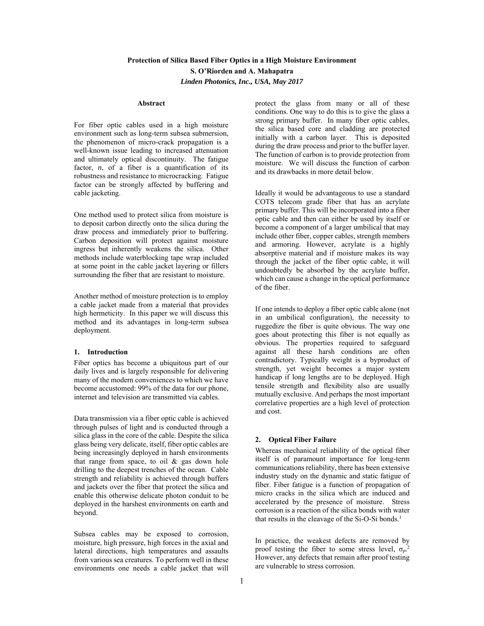# **Protection of Silica Based Fiber Optics in a High Moisture Environment S. O'Riorden and A. Mahapatra**  *Linden Photonics, Inc., USA, May 2017*

#### **Abstract**

For fiber optic cables used in a high moisture environment such as long-term subsea submersion, the phenomenon of micro-crack propagation is a well-known issue leading to increased attenuation and ultimately optical discontinuity. The fatigue factor, *n*, of a fiber is a quantification of its robustness and resistance to microcracking. Fatigue factor can be strongly affected by buffering and cable jacketing.

One method used to protect silica from moisture is to deposit carbon directly onto the silica during the draw process and immediately prior to buffering. Carbon deposition will protect against moisture ingress but inherently weakens the silica. Other methods include waterblocking tape wrap included at some point in the cable jacket layering or fillers surrounding the fiber that are resistant to moisture.

Another method of moisture protection is to employ a cable jacket made from a material that provides high hermeticity. In this paper we will discuss this method and its advantages in long-term subsea deployment.

#### **1. Introduction**

Fiber optics has become a ubiquitous part of our daily lives and is largely responsible for delivering many of the modern conveniences to which we have become accustomed: 99% of the data for our phone, internet and television are transmitted via cables.

Data transmission via a fiber optic cable is achieved through pulses of light and is conducted through a silica glass in the core of the cable. Despite the silica glass being very delicate, itself, fiber optic cables are being increasingly deployed in harsh environments that range from space, to oil & gas down hole drilling to the deepest trenches of the ocean. Cable strength and reliability is achieved through buffers and jackets over the fiber that protect the silica and enable this otherwise delicate photon conduit to be deployed in the harshest environments on earth and beyond.

Subsea cables may be exposed to corrosion, moisture, high pressure, high forces in the axial and lateral directions, high temperatures and assaults from various sea creatures. To perform well in these environments one needs a cable jacket that will

protect the glass from many or all of these conditions. One way to do this is to give the glass a strong primary buffer. In many fiber optic cables, the silica based core and cladding are protected initially with a carbon layer. This is deposited during the draw process and prior to the buffer layer. The function of carbon is to provide protection from moisture. We will discuss the function of carbon and its drawbacks in more detail below.

Ideally it would be advantageous to use a standard COTS telecom grade fiber that has an acrylate primary buffer. This will be incorporated into a fiber optic cable and then can either be used by itself or become a component of a larger umbilical that may include other fiber, copper cables, strength members and armoring. However, acrylate is a highly absorptive material and if moisture makes its way through the jacket of the fiber optic cable, it will undoubtedly be absorbed by the acrylate buffer, which can cause a change in the optical performance of the fiber.

If one intends to deploy a fiber optic cable alone (not in an umbilical configuration), the necessity to ruggedize the fiber is quite obvious. The way one goes about protecting this fiber is not equally as obvious. The properties required to safeguard against all these harsh conditions are often contradictory. Typically weight is a byproduct of strength, yet weight becomes a major system handicap if long lengths are to be deployed. High tensile strength and flexibility also are usually mutually exclusive. And perhaps the most important correlative properties are a high level of protection and cost.

#### **2. Optical Fiber Failure**

Whereas mechanical reliability of the optical fiber itself is of paramount importance for long-term communications reliability, there has been extensive industry study on the dynamic and static fatigue of fiber. Fiber fatigue is a function of propagation of micro cracks in the silica which are induced and accelerated by the presence of moisture. Stress corrosion is a reaction of the silica bonds with water that results in the cleavage of the Si-O-Si bonds.<sup>1</sup>

In practice, the weakest defects are removed by proof testing the fiber to some stress level,  $\sigma_p$ <sup>2</sup> However, any defects that remain after proof testing are vulnerable to stress corrosion.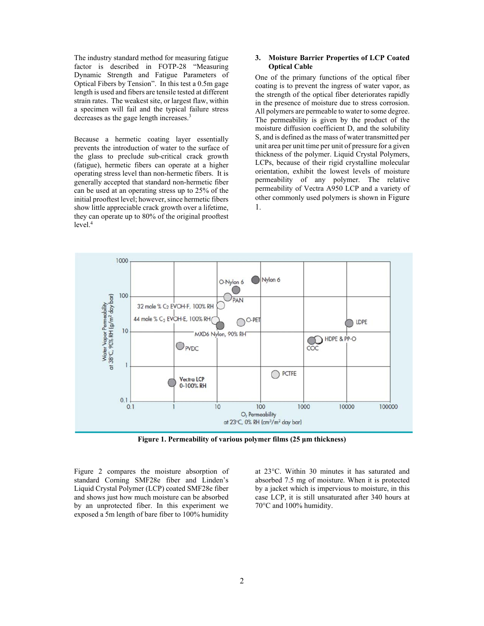The industry standard method for measuring fatigue factor is described in FOTP-28 "Measuring Dynamic Strength and Fatigue Parameters of Optical Fibers by Tension". In this test a 0.5m gage length is used and fibers are tensile tested at different strain rates. The weakest site, or largest flaw, within a specimen will fail and the typical failure stress decreases as the gage length increases.3

Because a hermetic coating layer essentially prevents the introduction of water to the surface of the glass to preclude sub-critical crack growth (fatigue), hermetic fibers can operate at a higher operating stress level than non-hermetic fibers. It is generally accepted that standard non-hermetic fiber can be used at an operating stress up to 25% of the initial prooftest level; however, since hermetic fibers show little appreciable crack growth over a lifetime, they can operate up to 80% of the original prooftest  $level.<sup>4</sup>$ 

#### **3. Moisture Barrier Properties of LCP Coated Optical Cable**

One of the primary functions of the optical fiber coating is to prevent the ingress of water vapor, as the strength of the optical fiber deteriorates rapidly in the presence of moisture due to stress corrosion. All polymers are permeable to water to some degree. The permeability is given by the product of the moisture diffusion coefficient D, and the solubility S, and is defined as the mass of water transmitted per unit area per unit time per unit of pressure for a given thickness of the polymer. Liquid Crystal Polymers, LCPs, because of their rigid crystalline molecular orientation, exhibit the lowest levels of moisture permeability of any polymer. The relative permeability of Vectra A950 LCP and a variety of other commonly used polymers is shown in Figure 1.



**Figure 1. Permeability of various polymer films (25 μm thickness)** 

Figure 2 compares the moisture absorption of standard Corning SMF28e fiber and Linden's Liquid Crystal Polymer (LCP) coated SMF28e fiber and shows just how much moisture can be absorbed by an unprotected fiber. In this experiment we exposed a 5m length of bare fiber to 100% humidity

at 23°C. Within 30 minutes it has saturated and absorbed 7.5 mg of moisture. When it is protected by a jacket which is impervious to moisture, in this case LCP, it is still unsaturated after 340 hours at 70°C and 100% humidity.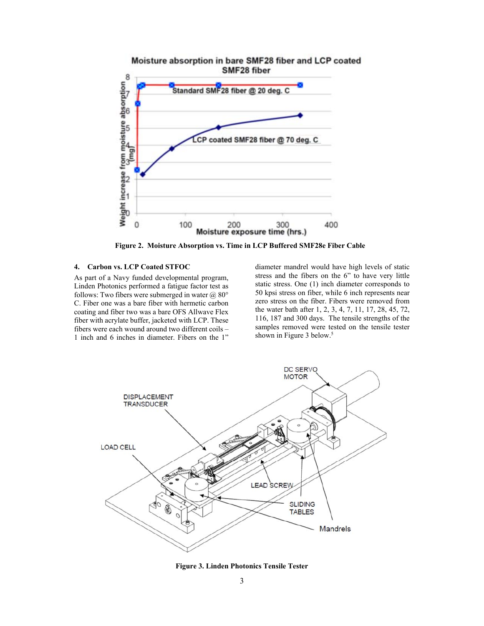

**Figure 2. Moisture Absorption vs. Time in LCP Buffered SMF28e Fiber Cable** 

### **4. Carbon vs. LCP Coated STFOC**

As part of a Navy funded developmental program, Linden Photonics performed a fatigue factor test as follows: Two fibers were submerged in water @ 80° C. Fiber one was a bare fiber with hermetic carbon coating and fiber two was a bare OFS Allwave Flex fiber with acrylate buffer, jacketed with LCP. These fibers were each wound around two different coils – 1 inch and 6 inches in diameter. Fibers on the 1"

diameter mandrel would have high levels of static stress and the fibers on the 6" to have very little static stress. One (1) inch diameter corresponds to 50 kpsi stress on fiber, while 6 inch represents near zero stress on the fiber. Fibers were removed from the water bath after 1, 2, 3, 4, 7, 11, 17, 28, 45, 72, 116, 187 and 300 days. The tensile strengths of the samples removed were tested on the tensile tester shown in Figure 3 below.<sup>5</sup>



**Figure 3. Linden Photonics Tensile Tester**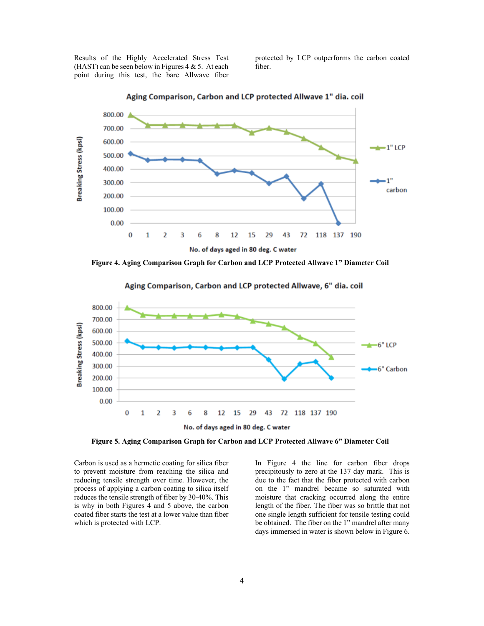Results of the Highly Accelerated Stress Test (HAST) can be seen below in Figures  $4 & 5$ . At each point during this test, the bare Allwave fiber protected by LCP outperforms the carbon coated fiber.



Aging Comparison, Carbon and LCP protected Allwave 1" dia, coil

**Figure 4. Aging Comparison Graph for Carbon and LCP Protected Allwave 1" Diameter Coil** 



Aging Comparison, Carbon and LCP protected Allwave, 6" dia. coil

**Figure 5. Aging Comparison Graph for Carbon and LCP Protected Allwave 6" Diameter Coil** 

Carbon is used as a hermetic coating for silica fiber to prevent moisture from reaching the silica and reducing tensile strength over time. However, the process of applying a carbon coating to silica itself reduces the tensile strength of fiber by 30-40%. This is why in both Figures 4 and 5 above, the carbon coated fiber starts the test at a lower value than fiber which is protected with LCP.

In Figure 4 the line for carbon fiber drops precipitously to zero at the 137 day mark. This is due to the fact that the fiber protected with carbon on the 1" mandrel became so saturated with moisture that cracking occurred along the entire length of the fiber. The fiber was so brittle that not one single length sufficient for tensile testing could be obtained. The fiber on the 1" mandrel after many days immersed in water is shown below in Figure 6.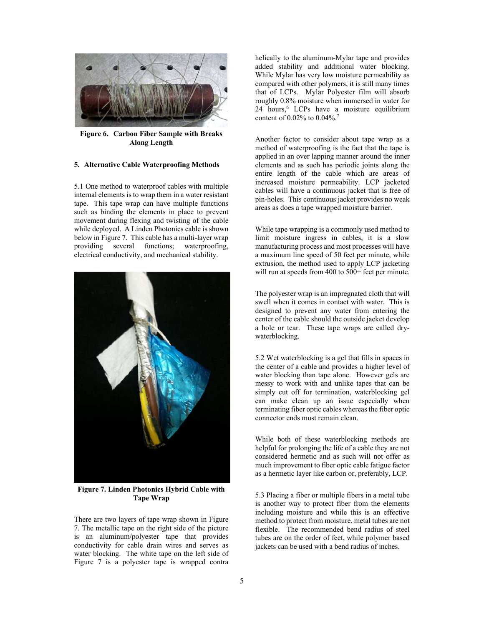

**Figure 6. Carbon Fiber Sample with Breaks Along Length** 

## **5. Alternative Cable Waterproofing Methods**

5.1 One method to waterproof cables with multiple internal elements is to wrap them in a water resistant tape. This tape wrap can have multiple functions such as binding the elements in place to prevent movement during flexing and twisting of the cable while deployed. A Linden Photonics cable is shown below in Figure 7. This cable has a multi-layer wrap providing several functions; waterproofing, electrical conductivity, and mechanical stability.



**Figure 7. Linden Photonics Hybrid Cable with Tape Wrap** 

There are two layers of tape wrap shown in Figure 7. The metallic tape on the right side of the picture is an aluminum/polyester tape that provides conductivity for cable drain wires and serves as water blocking. The white tape on the left side of Figure 7 is a polyester tape is wrapped contra helically to the aluminum-Mylar tape and provides added stability and additional water blocking. While Mylar has very low moisture permeability as compared with other polymers, it is still many times that of LCPs. Mylar Polyester film will absorb roughly 0.8% moisture when immersed in water for 24 hours,<sup>6</sup> LCPs have a moisture equilibrium content of 0.02% to 0.04%.7

Another factor to consider about tape wrap as a method of waterproofing is the fact that the tape is applied in an over lapping manner around the inner elements and as such has periodic joints along the entire length of the cable which are areas of increased moisture permeability. LCP jacketed cables will have a continuous jacket that is free of pin-holes. This continuous jacket provides no weak areas as does a tape wrapped moisture barrier.

While tape wrapping is a commonly used method to limit moisture ingress in cables, it is a slow manufacturing process and most processes will have a maximum line speed of 50 feet per minute, while extrusion, the method used to apply LCP jacketing will run at speeds from 400 to 500+ feet per minute.

The polyester wrap is an impregnated cloth that will swell when it comes in contact with water. This is designed to prevent any water from entering the center of the cable should the outside jacket develop a hole or tear. These tape wraps are called drywaterblocking.

5.2 Wet waterblocking is a gel that fills in spaces in the center of a cable and provides a higher level of water blocking than tape alone. However gels are messy to work with and unlike tapes that can be simply cut off for termination, waterblocking gel can make clean up an issue especially when terminating fiber optic cables whereas the fiber optic connector ends must remain clean.

While both of these waterblocking methods are helpful for prolonging the life of a cable they are not considered hermetic and as such will not offer as much improvement to fiber optic cable fatigue factor as a hermetic layer like carbon or, preferably, LCP.

5.3 Placing a fiber or multiple fibers in a metal tube is another way to protect fiber from the elements including moisture and while this is an effective method to protect from moisture, metal tubes are not flexible. The recommended bend radius of steel tubes are on the order of feet, while polymer based jackets can be used with a bend radius of inches.